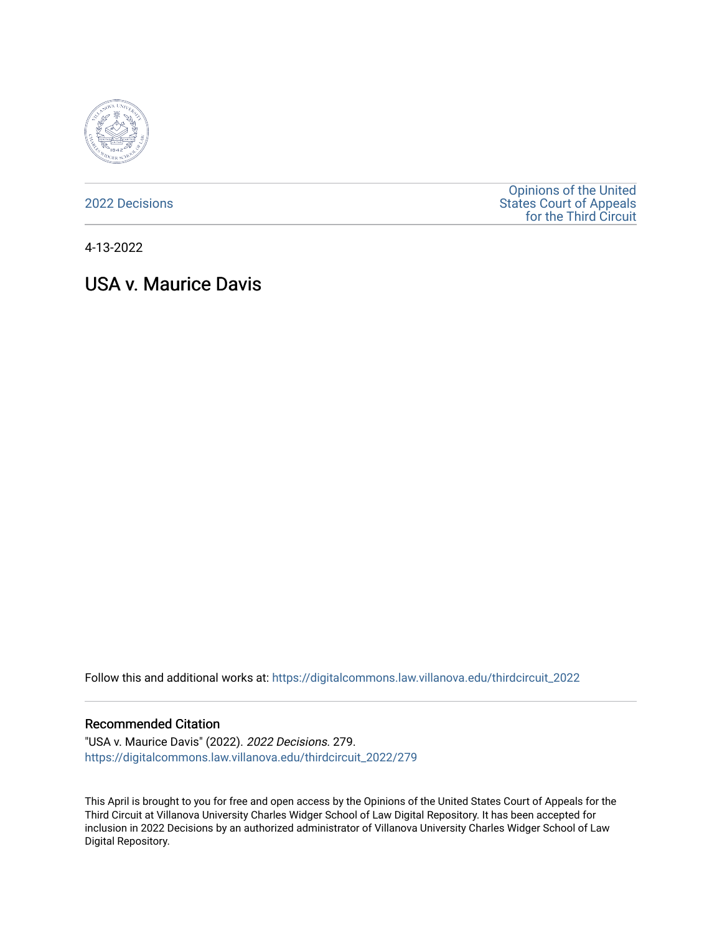

[2022 Decisions](https://digitalcommons.law.villanova.edu/thirdcircuit_2022)

[Opinions of the United](https://digitalcommons.law.villanova.edu/thirdcircuit)  [States Court of Appeals](https://digitalcommons.law.villanova.edu/thirdcircuit)  [for the Third Circuit](https://digitalcommons.law.villanova.edu/thirdcircuit) 

4-13-2022

# USA v. Maurice Davis

Follow this and additional works at: [https://digitalcommons.law.villanova.edu/thirdcircuit\\_2022](https://digitalcommons.law.villanova.edu/thirdcircuit_2022?utm_source=digitalcommons.law.villanova.edu%2Fthirdcircuit_2022%2F279&utm_medium=PDF&utm_campaign=PDFCoverPages) 

#### Recommended Citation

"USA v. Maurice Davis" (2022). 2022 Decisions. 279. [https://digitalcommons.law.villanova.edu/thirdcircuit\\_2022/279](https://digitalcommons.law.villanova.edu/thirdcircuit_2022/279?utm_source=digitalcommons.law.villanova.edu%2Fthirdcircuit_2022%2F279&utm_medium=PDF&utm_campaign=PDFCoverPages)

This April is brought to you for free and open access by the Opinions of the United States Court of Appeals for the Third Circuit at Villanova University Charles Widger School of Law Digital Repository. It has been accepted for inclusion in 2022 Decisions by an authorized administrator of Villanova University Charles Widger School of Law Digital Repository.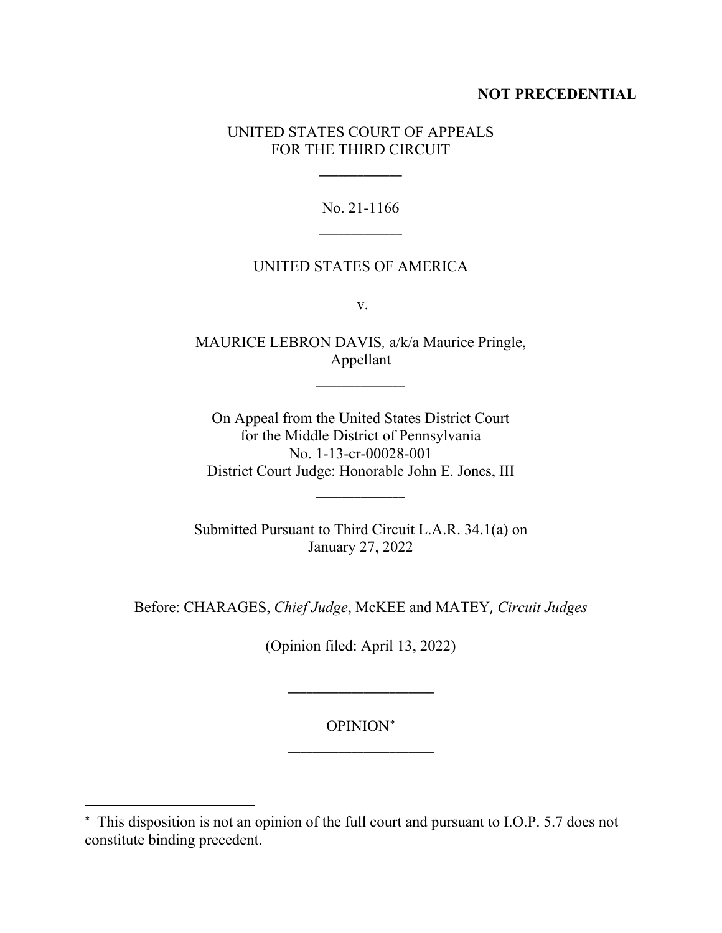## **NOT PRECEDENTIAL**

## UNITED STATES COURT OF APPEALS FOR THE THIRD CIRCUIT

\_\_\_\_\_\_\_\_\_\_\_\_\_

No. 21-1166 \_\_\_\_\_\_\_\_\_\_\_\_\_

#### UNITED STATES OF AMERICA

v.

MAURICE LEBRON DAVIS*,* a/k/a Maurice Pringle, Appellant

\_\_\_\_\_\_\_\_\_\_\_\_\_\_

On Appeal from the United States District Court for the Middle District of Pennsylvania No. 1-13-cr-00028-001 District Court Judge: Honorable John E. Jones, III

\_\_\_\_\_\_\_\_\_\_\_\_\_\_

Submitted Pursuant to Third Circuit L.A.R. 34.1(a) on January 27, 2022

Before: CHARAGES, *Chief Judge*, McKEE and MATEY, *Circuit Judges*

(Opinion filed: April 13, 2022)

OPINION[∗](#page-1-0) \_\_\_\_\_\_\_\_\_\_\_\_\_\_\_\_\_\_\_\_\_\_\_

\_\_\_\_\_\_\_\_\_\_\_\_\_\_\_\_\_\_\_\_\_\_\_

<span id="page-1-0"></span><sup>∗</sup> This disposition is not an opinion of the full court and pursuant to I.O.P. 5.7 does not constitute binding precedent.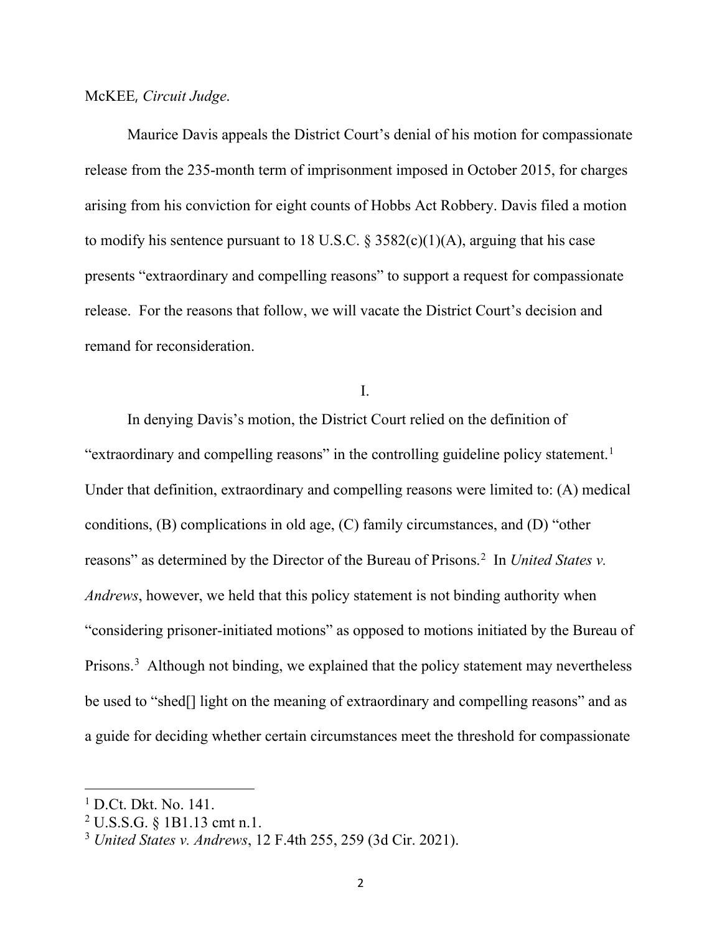McKEE, *Circuit Judge*.

Maurice Davis appeals the District Court's denial of his motion for compassionate release from the 235-month term of imprisonment imposed in October 2015, for charges arising from his conviction for eight counts of Hobbs Act Robbery. Davis filed a motion to modify his sentence pursuant to 18 U.S.C.  $\S 3582(c)(1)(A)$ , arguing that his case presents "extraordinary and compelling reasons" to support a request for compassionate release. For the reasons that follow, we will vacate the District Court's decision and remand for reconsideration.

I.

In denying Davis's motion, the District Court relied on the definition of "extraordinary and compelling reasons" in the controlling guideline policy statement.<sup>[1](#page-2-0)</sup> Under that definition, extraordinary and compelling reasons were limited to: (A) medical conditions, (B) complications in old age, (C) family circumstances, and (D) "other reasons" as determined by the Director of the Bureau of Prisons.<sup>[2](#page-2-1)</sup> In *United States v. Andrews*, however, we held that this policy statement is not binding authority when "considering prisoner-initiated motions" as opposed to motions initiated by the Bureau of Prisons.<sup>[3](#page-2-2)</sup> Although not binding, we explained that the policy statement may nevertheless be used to "shed[] light on the meaning of extraordinary and compelling reasons" and as a guide for deciding whether certain circumstances meet the threshold for compassionate

<span id="page-2-0"></span><sup>1</sup> D.Ct. Dkt. No. 141.

<span id="page-2-1"></span><sup>2</sup> U.S.S.G. § 1B1.13 cmt n.1.

<span id="page-2-2"></span><sup>3</sup> *United States v. Andrews*, 12 F.4th 255, 259 (3d Cir. 2021).